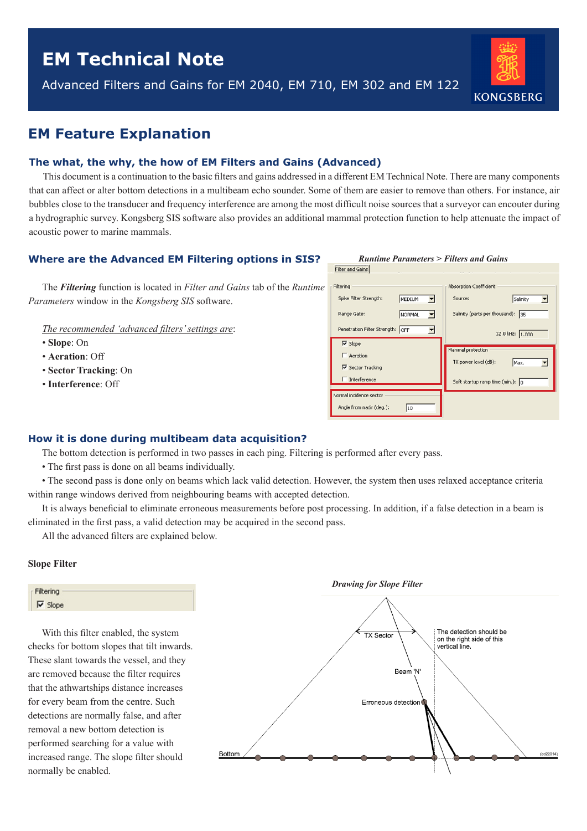# **EM Technical Note**

Advanced Filters and Gains for EM 2040, EM 710, EM 302 and EM 122



# **EM Feature Explanation**

## **The what, the why, the how of EM Filters and Gains (Advanced)**

This document is a continuation to the basic filters and gains addressed in a different EM Technical Note. There are many components that can affect or alter bottom detections in a multibeam echo sounder. Some of them are easier to remove than others. For instance, air bubbles close to the transducer and frequency interference are among the most difficult noise sources that a surveyor can encouter during a hydrographic survey. Kongsberg SIS software also provides an additional mammal protection function to help attenuate the impact of acoustic power to marine mammals.

## **Where are the Advanced EM Filtering options in SIS?**

The *Filtering* function is located in *Filter and Gains* tab of the *Runtime Parameters* window in the *Kongsberg SIS* software.

*The recommended 'advanced filters' settings are*:

- **Slope**: On
- **Aeration**: Off
- **Sector Tracking**: On
- **Interference**: Off

# *Runtime Parameters > Filters and Gains*

| Spike Filter Strength:           | MEDIUM | Salinity<br>Source:                        |
|----------------------------------|--------|--------------------------------------------|
| Range Gate:                      | NORMAL | Salinity (parts per thousand): 35          |
| Penetration Filter Strength: OFF |        | 12.0 kHz: 1.000                            |
| $\nabla$ Slope                   |        |                                            |
| $\Gamma$ Aeration                |        | Mammal protection                          |
| <b>▽</b> Sector Tracking         |        | TX power level (dB):<br>Max.               |
| $\Box$ Interference              |        | Soft startup ramp time (min.): $\boxed{0}$ |
| Normal incidence sector          |        |                                            |

### **How it is done during multibeam data acquisition?**

The bottom detection is performed in two passes in each ping. Filtering is performed after every pass.

• The first pass is done on all beams individually.

• The second pass is done only on beams which lack valid detection. However, the system then uses relaxed acceptance criteria within range windows derived from neighbouring beams with accepted detection.

It is always beneficial to eliminate erroneous measurements before post processing. In addition, if a false detection in a beam is eliminated in the first pass, a valid detection may be acquired in the second pass.

All the advanced filters are explained below.

#### **Slope Filter**



With this filter enabled, the system checks for bottom slopes that tilt inwards. These slant towards the vessel, and they are removed because the filter requires that the athwartships distance increases for every beam from the centre. Such detections are normally false, and after removal a new bottom detection is performed searching for a value with increased range. The slope filter should normally be enabled.